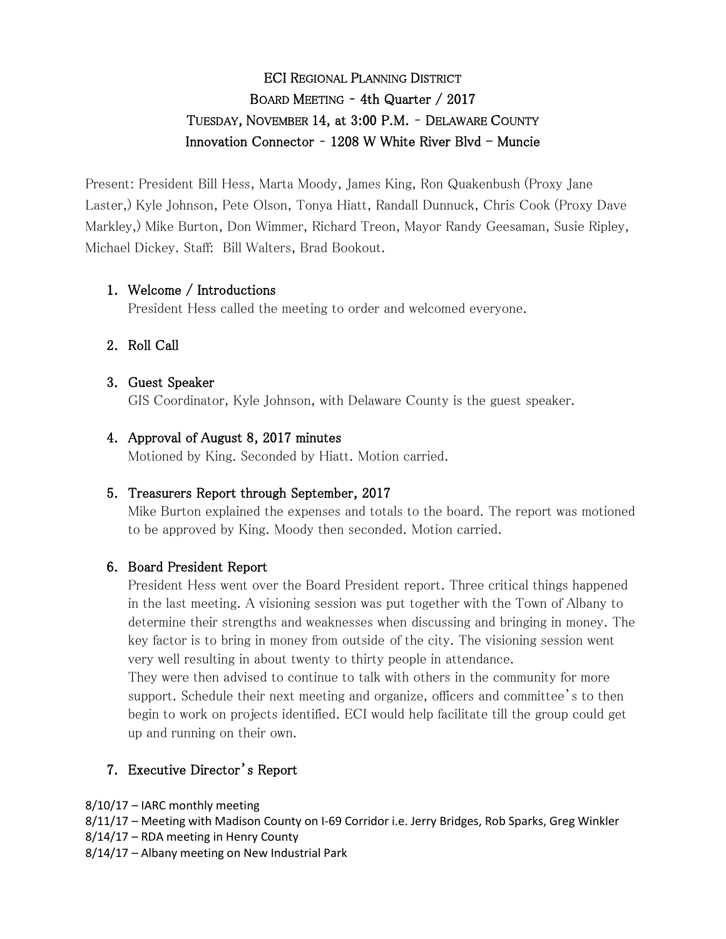# ECI REGIONAL PLANNING DISTRICT BOARD MEETING – 4th Quarter / 2017 TUESDAY, NOVEMBER 14, at 3:00 P.M. – DELAWARE COUNTY Innovation Connector -  $1208$  W White River Blvd - Muncie

Present: President Bill Hess, Marta Moody, James King, Ron Quakenbush (Proxy Jane Laster,) Kyle Johnson, Pete Olson, Tonya Hiatt, Randall Dunnuck, Chris Cook (Proxy Dave Markley,) Mike Burton, Don Wimmer, Richard Treon, Mayor Randy Geesaman, Susie Ripley, Michael Dickey. Staff: Bill Walters, Brad Bookout.

# 1. Welcome / Introductions

President Hess called the meeting to order and welcomed everyone.

# 2. Roll Call

# 3. Guest Speaker

GIS Coordinator, Kyle Johnson, with Delaware County is the guest speaker.

# 4. Approval of August 8, 2017 minutes

Motioned by King. Seconded by Hiatt. Motion carried.

## 5. Treasurers Report through September, 2017

Mike Burton explained the expenses and totals to the board. The report was motioned to be approved by King. Moody then seconded. Motion carried.

# 6. Board President Report

President Hess went over the Board President report. Three critical things happened in the last meeting. A visioning session was put together with the Town of Albany to determine their strengths and weaknesses when discussing and bringing in money. The key factor is to bring in money from outside of the city. The visioning session went very well resulting in about twenty to thirty people in attendance.

They were then advised to continue to talk with others in the community for more support. Schedule their next meeting and organize, officers and committee's to then begin to work on projects identified. ECI would help facilitate till the group could get up and running on their own.

# 7. Executive Director's Report

- 8/10/17 IARC monthly meeting
- 8/11/17 Meeting with Madison County on I-69 Corridor i.e. Jerry Bridges, Rob Sparks, Greg Winkler
- 8/14/17 RDA meeting in Henry County
- 8/14/17 Albany meeting on New Industrial Park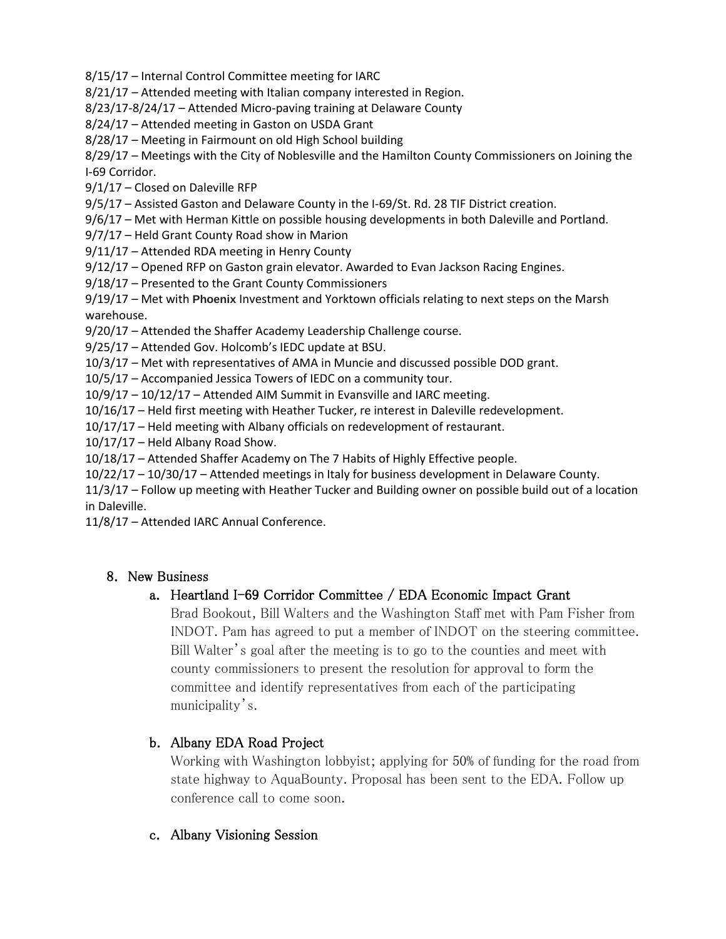8/15/17 – Internal Control Committee meeting for IARC

8/21/17 – Attended meeting with Italian company interested in Region.

8/23/17-8/24/17 – Attended Micro-paving training at Delaware County

8/24/17 – Attended meeting in Gaston on USDA Grant

8/28/17 – Meeting in Fairmount on old High School building

8/29/17 – Meetings with the City of Noblesville and the Hamilton County Commissioners on Joining the I-69 Corridor.

9/1/17 – Closed on Daleville RFP

9/5/17 – Assisted Gaston and Delaware County in the I-69/St. Rd. 28 TIF District creation.

9/6/17 – Met with Herman Kittle on possible housing developments in both Daleville and Portland.

9/7/17 – Held Grant County Road show in Marion

9/11/17 – Attended RDA meeting in Henry County

9/12/17 – Opened RFP on Gaston grain elevator. Awarded to Evan Jackson Racing Engines.

9/18/17 – Presented to the Grant County Commissioners

9/19/17 – Met with **Phoenix** Investment and Yorktown officials relating to next steps on the Marsh warehouse.

9/20/17 – Attended the Shaffer Academy Leadership Challenge course.

9/25/17 – Attended Gov. Holcomb's IEDC update at BSU.

10/3/17 – Met with representatives of AMA in Muncie and discussed possible DOD grant.

10/5/17 – Accompanied Jessica Towers of IEDC on a community tour.

10/9/17 – 10/12/17 – Attended AIM Summit in Evansville and IARC meeting.

10/16/17 – Held first meeting with Heather Tucker, re interest in Daleville redevelopment.

10/17/17 – Held meeting with Albany officials on redevelopment of restaurant.

10/17/17 – Held Albany Road Show.

10/18/17 – Attended Shaffer Academy on The 7 Habits of Highly Effective people.

10/22/17 – 10/30/17 – Attended meetings in Italy for business development in Delaware County.

11/3/17 – Follow up meeting with Heather Tucker and Building owner on possible build out of a location in Daleville.

11/8/17 – Attended IARC Annual Conference.

#### 8. New Business

## a. Heartland I-69 Corridor Committee / EDA Economic Impact Grant

Brad Bookout, Bill Walters and the Washington Staff met with Pam Fisher from INDOT. Pam has agreed to put a member of INDOT on the steering committee. Bill Walter's goal after the meeting is to go to the counties and meet with county commissioners to present the resolution for approval to form the committee and identify representatives from each of the participating municipality's.

## b. Albany EDA Road Project

Working with Washington lobbyist; applying for 50% of funding for the road from state highway to AquaBounty. Proposal has been sent to the EDA. Follow up conference call to come soon.

## c. Albany Visioning Session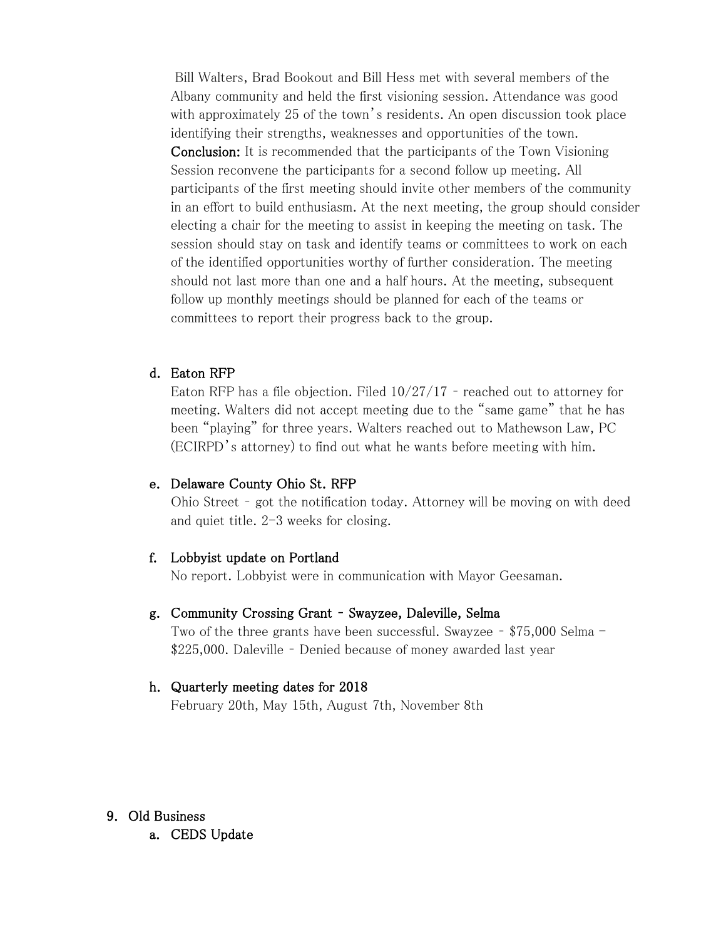Bill Walters, Brad Bookout and Bill Hess met with several members of the Albany community and held the first visioning session. Attendance was good with approximately 25 of the town's residents. An open discussion took place identifying their strengths, weaknesses and opportunities of the town. Conclusion: It is recommended that the participants of the Town Visioning Session reconvene the participants for a second follow up meeting. All participants of the first meeting should invite other members of the community in an effort to build enthusiasm. At the next meeting, the group should consider electing a chair for the meeting to assist in keeping the meeting on task. The session should stay on task and identify teams or committees to work on each of the identified opportunities worthy of further consideration. The meeting should not last more than one and a half hours. At the meeting, subsequent follow up monthly meetings should be planned for each of the teams or committees to report their progress back to the group.

#### d. Eaton RFP

Eaton RFP has a file objection. Filed 10/27/17 – reached out to attorney for meeting. Walters did not accept meeting due to the "same game" that he has been "playing" for three years. Walters reached out to Mathewson Law, PC (ECIRPD's attorney) to find out what he wants before meeting with him.

## e. Delaware County Ohio St. RFP

Ohio Street – got the notification today. Attorney will be moving on with deed and quiet title. 2-3 weeks for closing.

#### f. Lobbyist update on Portland

No report. Lobbyist were in communication with Mayor Geesaman.

#### g. Community Crossing Grant – Swayzee, Daleville, Selma

Two of the three grants have been successful. Swayzee – \$75,000 Selma - \$225,000. Daleville – Denied because of money awarded last year

#### h. Quarterly meeting dates for 2018

February 20th, May 15th, August 7th, November 8th

## 9. Old Business

a. CEDS Update